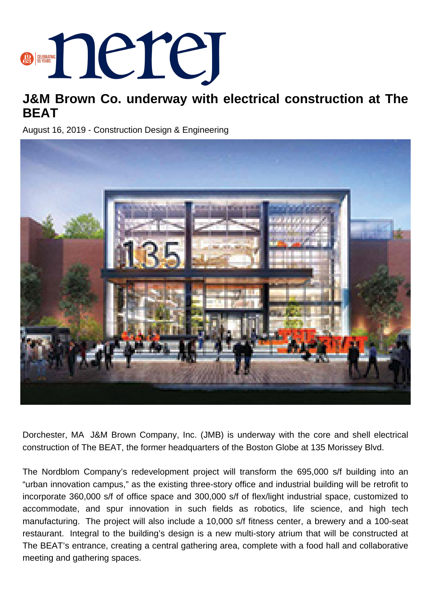

## **J&M Brown Co. underway with electrical construction at The BEAT**

August 16, 2019 - Construction Design & Engineering



Dorchester, MA J&M Brown Company, Inc. (JMB) is underway with the core and shell electrical construction of The BEAT, the former headquarters of the Boston Globe at 135 Morissey Blvd.

The Nordblom Company's redevelopment project will transform the 695,000 s/f building into an "urban innovation campus," as the existing three-story office and industrial building will be retrofit to incorporate 360,000 s/f of office space and 300,000 s/f of flex/light industrial space, customized to accommodate, and spur innovation in such fields as robotics, life science, and high tech manufacturing. The project will also include a 10,000 s/f fitness center, a brewery and a 100-seat restaurant. Integral to the building's design is a new multi-story atrium that will be constructed at The BEAT's entrance, creating a central gathering area, complete with a food hall and collaborative meeting and gathering spaces.